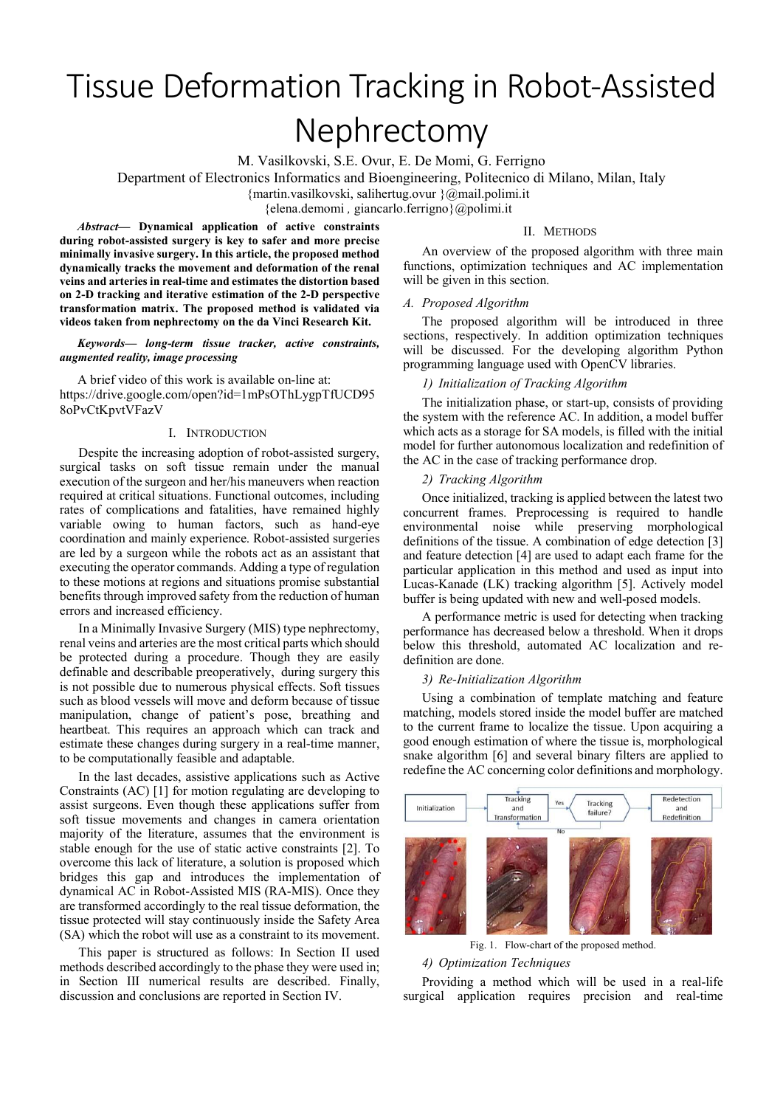# Tissue Deformation Tracking in Robot-Assisted Nephrectomy

M. Vasilkovski, S.E. Ovur, E. De Momi, G. Ferrigno

Department of Electronics Informatics and Bioengineering, Politecnico di Milano, Milan, Italy

{martin.vasilkovski, salihertug.ovur }@mail.polimi.it

{elena.demomi , giancarlo.ferrigno}@polimi.it

Abstract— Dynamical application of active constraints during robot-assisted surgery is key to safer and more precise minimally invasive surgery. In this article, the proposed method dynamically tracks the movement and deformation of the renal veins and arteries in real-time and estimates the distortion based on 2-D tracking and iterative estimation of the 2-D perspective transformation matrix. The proposed method is validated via videos taken from nephrectomy on the da Vinci Research Kit.

Keywords— long-term tissue tracker, active constraints, augmented reality, image processing

A brief video of this work is available on-line at: https://drive.google.com/open?id=1mPsOThLygpTfUCD95 8oPvCtKpvtVFazV

# I. INTRODUCTION

Despite the increasing adoption of robot-assisted surgery, surgical tasks on soft tissue remain under the manual execution of the surgeon and her/his maneuvers when reaction required at critical situations. Functional outcomes, including rates of complications and fatalities, have remained highly variable owing to human factors, such as hand-eye coordination and mainly experience. Robot-assisted surgeries are led by a surgeon while the robots act as an assistant that executing the operator commands. Adding a type of regulation to these motions at regions and situations promise substantial benefits through improved safety from the reduction of human errors and increased efficiency.

In a Minimally Invasive Surgery (MIS) type nephrectomy, renal veins and arteries are the most critical parts which should be protected during a procedure. Though they are easily definable and describable preoperatively, during surgery this is not possible due to numerous physical effects. Soft tissues such as blood vessels will move and deform because of tissue manipulation, change of patient's pose, breathing and heartbeat. This requires an approach which can track and estimate these changes during surgery in a real-time manner, to be computationally feasible and adaptable.

In the last decades, assistive applications such as Active Constraints (AC) [1] for motion regulating are developing to assist surgeons. Even though these applications suffer from soft tissue movements and changes in camera orientation majority of the literature, assumes that the environment is stable enough for the use of static active constraints [2]. To overcome this lack of literature, a solution is proposed which bridges this gap and introduces the implementation of dynamical AC in Robot-Assisted MIS (RA-MIS). Once they are transformed accordingly to the real tissue deformation, the tissue protected will stay continuously inside the Safety Area (SA) which the robot will use as a constraint to its movement.

This paper is structured as follows: In Section II used methods described accordingly to the phase they were used in; in Section III numerical results are described. Finally, discussion and conclusions are reported in Section IV.

# II. METHODS

An overview of the proposed algorithm with three main functions, optimization techniques and AC implementation will be given in this section.

### A. Proposed Algorithm

The proposed algorithm will be introduced in three sections, respectively. In addition optimization techniques will be discussed. For the developing algorithm Python programming language used with OpenCV libraries.

# 1) Initialization of Tracking Algorithm

The initialization phase, or start-up, consists of providing the system with the reference AC. In addition, a model buffer which acts as a storage for SA models, is filled with the initial model for further autonomous localization and redefinition of the AC in the case of tracking performance drop.

# 2) Tracking Algorithm

Once initialized, tracking is applied between the latest two concurrent frames. Preprocessing is required to handle environmental noise while preserving morphological definitions of the tissue. A combination of edge detection [3] and feature detection [4] are used to adapt each frame for the particular application in this method and used as input into Lucas-Kanade (LK) tracking algorithm [5]. Actively model buffer is being updated with new and well-posed models.

A performance metric is used for detecting when tracking performance has decreased below a threshold. When it drops below this threshold, automated AC localization and redefinition are done.

#### 3) Re-Initialization Algorithm

Using a combination of template matching and feature matching, models stored inside the model buffer are matched to the current frame to localize the tissue. Upon acquiring a good enough estimation of where the tissue is, morphological snake algorithm [6] and several binary filters are applied to redefine the AC concerning color definitions and morphology.



Fig. 1. Flow-chart of the proposed method.

#### 4) Optimization Techniques

Providing a method which will be used in a real-life surgical application requires precision and real-time